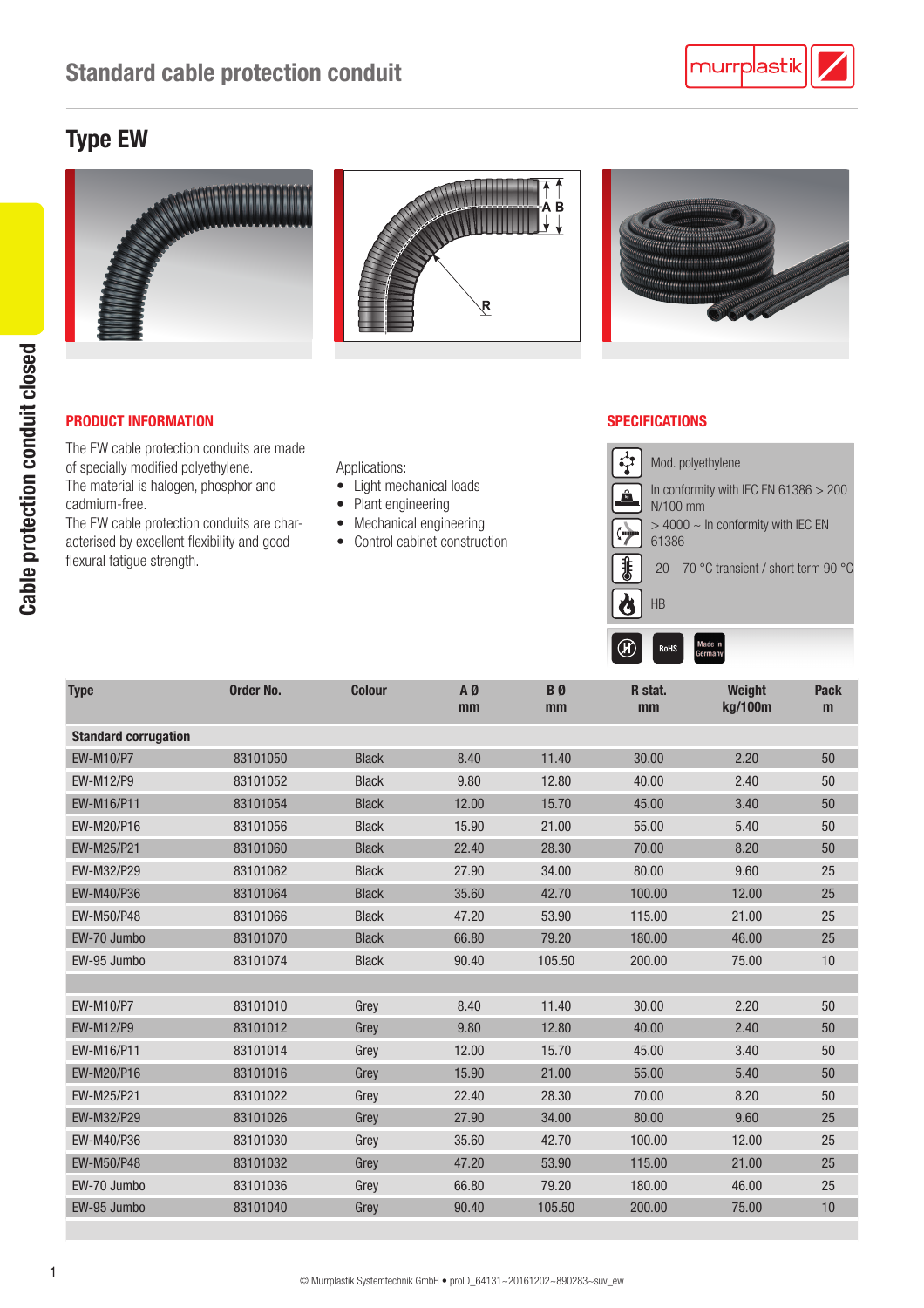## Type EW



### PRODUCT INFORMATION SPECIFICATIONS

The EW cable protection conduits are made of specially modified polyethylene. The material is halogen, phosphor and cadmium-free.

The EW cable protection conduits are characterised by excellent flexibility and good flexural fatigue strength.

Applications:

- Light mechanical loads
- Plant engineering
- Mechanical engineering
- Control cabinet construction



| <b>Type</b>                 | Order No. | <b>Colour</b> | AØ<br>mm | <b>B</b> <sub>0</sub><br>mm | R stat.<br>mm | Weight<br>kg/100m | <b>Pack</b><br>m |
|-----------------------------|-----------|---------------|----------|-----------------------------|---------------|-------------------|------------------|
| <b>Standard corrugation</b> |           |               |          |                             |               |                   |                  |
| <b>EW-M10/P7</b>            | 83101050  | <b>Black</b>  | 8.40     | 11.40                       | 30.00         | 2.20              | 50               |
| <b>EW-M12/P9</b>            | 83101052  | <b>Black</b>  | 9.80     | 12.80                       | 40.00         | 2.40              | 50               |
| EW-M16/P11                  | 83101054  | <b>Black</b>  | 12.00    | 15.70                       | 45.00         | 3.40              | 50               |
| EW-M20/P16                  | 83101056  | <b>Black</b>  | 15.90    | 21.00                       | 55.00         | 5.40              | 50               |
| EW-M25/P21                  | 83101060  | <b>Black</b>  | 22.40    | 28.30                       | 70.00         | 8.20              | 50               |
| EW-M32/P29                  | 83101062  | <b>Black</b>  | 27.90    | 34.00                       | 80.00         | 9.60              | 25               |
| EW-M40/P36                  | 83101064  | <b>Black</b>  | 35.60    | 42.70                       | 100.00        | 12.00             | 25               |
| EW-M50/P48                  | 83101066  | <b>Black</b>  | 47.20    | 53.90                       | 115.00        | 21.00             | 25               |
| EW-70 Jumbo                 | 83101070  | <b>Black</b>  | 66.80    | 79.20                       | 180.00        | 46.00             | 25               |
| EW-95 Jumbo                 | 83101074  | <b>Black</b>  | 90.40    | 105.50                      | 200.00        | 75.00             | 10               |
|                             |           |               |          |                             |               |                   |                  |
| EW-M10/P7                   | 83101010  | Grey          | 8.40     | 11.40                       | 30.00         | 2.20              | 50               |
| EW-M12/P9                   | 83101012  | Grey          | 9.80     | 12.80                       | 40.00         | 2.40              | 50               |
| EW-M16/P11                  | 83101014  | Grey          | 12.00    | 15.70                       | 45.00         | 3.40              | 50               |
| EW-M20/P16                  | 83101016  | Grey          | 15.90    | 21.00                       | 55.00         | 5.40              | 50               |
| EW-M25/P21                  | 83101022  | Grey          | 22.40    | 28.30                       | 70.00         | 8.20              | 50               |
| EW-M32/P29                  | 83101026  | Grey          | 27.90    | 34.00                       | 80.00         | 9.60              | 25               |
| EW-M40/P36                  | 83101030  | Grey          | 35.60    | 42.70                       | 100.00        | 12.00             | 25               |
| EW-M50/P48                  | 83101032  | Grey          | 47.20    | 53.90                       | 115.00        | 21.00             | 25               |
| EW-70 Jumbo                 | 83101036  | Grey          | 66.80    | 79.20                       | 180.00        | 46.00             | 25               |
| EW-95 Jumbo                 | 83101040  | Grey          | 90.40    | 105.50                      | 200.00        | 75.00             | 10               |